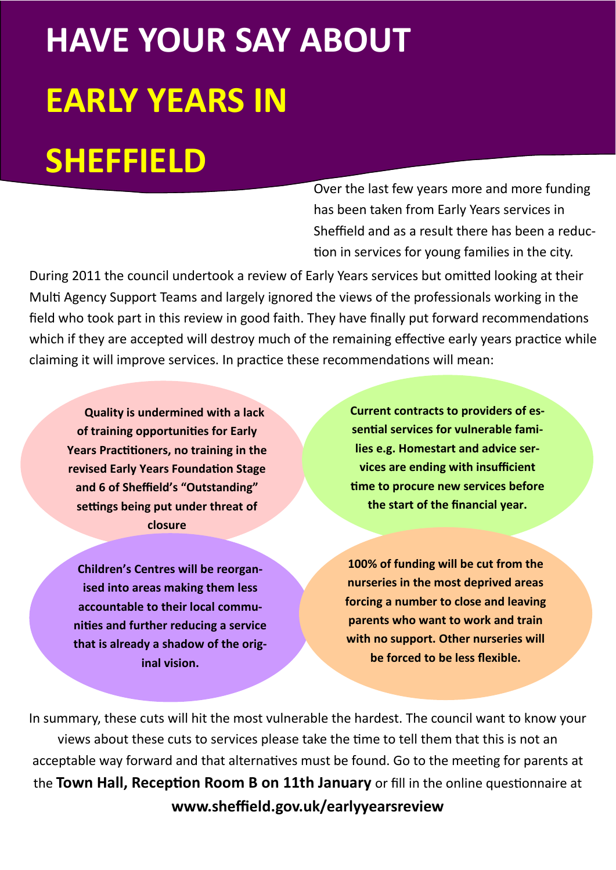# **HAVE YOUR SAY ABOUT EARLY YEARS IN**

## **SHEFFIELD**

Over the last few years more and more funding has been taken from Early Years services in Sheffield and as a result there has been a reduc tion in services for young families in the city.

During 2011 the council undertook a review of Early Years services but omitted looking at their Multi Agency Support Teams and largely ignored the views of the professionals working in the field who took part in this review in good faith. They have finally put forward recommendations which if they are accepted will destroy much of the remaining effective early years practice while claiming it will improve services. In practice these recommendations will mean:

 **Quality is undermined with a lack of training opportunities for Early** Years Practitioners, no training in the **revised Early Years Foundation Stage and 6 of Sheffield's "Outstanding"**  settings being put under threat of **closure** 

**Children's Centres will be reorganised into areas making them less accountable to their local communities and further reducing a service that is already a shadow of the original vision.** 

**Current contracts to providers of es**sential services for vulnerable fami**lies e.g. Homestart and advice services are ending with insufficient 'me to procure new services before the start of the financial year.** 

**100% of funding will be cut from the nurseries in the most deprived areas forcing a number to close and leaving parents who want to work and train with no support. Other nurseries will be forced to be less flexible.** 

In summary, these cuts will hit the most vulnerable the hardest. The council want to know your views about these cuts to services please take the time to tell them that this is not an acceptable way forward and that alternatives must be found. Go to the meeting for parents at the Town Hall, Reception Room B on 11th January or fill in the online questionnaire at **www.sheffield.gov.uk/earlyyearsreview**